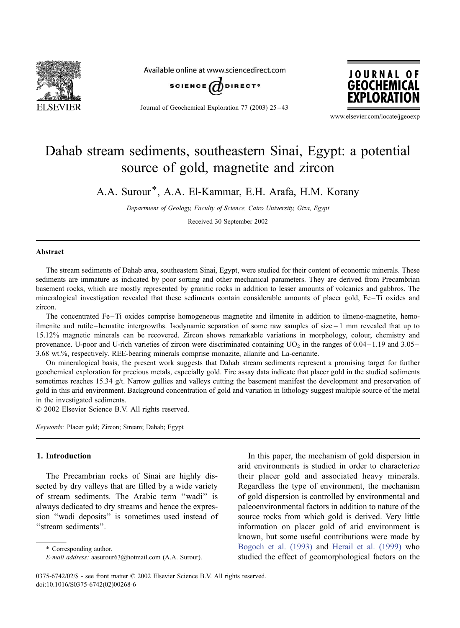

Available online at www.sciencedirect.com



Journal of Geochemical Exploration 77 (2003) 25 – 43



www.elsevier.com/locate/jgeoexp

# Dahab stream sediments, southeastern Sinai, Egypt: a potential source of gold, magnetite and zircon

A.A. Surour\*, A.A. El-Kammar, E.H. Arafa, H.M. Korany

Department of Geology, Faculty of Science, Cairo University, Giza, Egypt

Received 30 September 2002

## Abstract

The stream sediments of Dahab area, southeastern Sinai, Egypt, were studied for their content of economic minerals. These sediments are immature as indicated by poor sorting and other mechanical parameters. They are derived from Precambrian basement rocks, which are mostly represented by granitic rocks in addition to lesser amounts of volcanics and gabbros. The mineralogical investigation revealed that these sediments contain considerable amounts of placer gold, Fe-Ti oxides and zircon.

The concentrated Fe-Ti oxides comprise homogeneous magnetite and ilmenite in addition to ilmeno-magnetite, hemoilmenite and rutile – hematite intergrowths. Isodynamic separation of some raw samples of size = 1 mm revealed that up to 15.12% magnetic minerals can be recovered. Zircon shows remarkable variations in morphology, colour, chemistry and provenance. U-poor and U-rich varieties of zircon were discriminated containing  $UO<sub>2</sub>$  in the ranges of 0.04 – 1.19 and 3.05 – 3.68 wt.%, respectively. REE-bearing minerals comprise monazite, allanite and La-cerianite.

On mineralogical basis, the present work suggests that Dahab stream sediments represent a promising target for further geochemical exploration for precious metals, especially gold. Fire assay data indicate that placer gold in the studied sediments sometimes reaches 15.34 g/t. Narrow gullies and valleys cutting the basement manifest the development and preservation of gold in this arid environment. Background concentration of gold and variation in lithology suggest multiple source of the metal in the investigated sediments.

 $© 2002 Elsevier Science B.V. All rights reserved.$ 

Keywords: Placer gold; Zircon; Stream; Dahab; Egypt

# 1. Introduction

The Precambrian rocks of Sinai are highly dissected by dry valleys that are filled by a wide variety of stream sediments. The Arabic term ''wadi'' is always dedicated to dry streams and hence the expression ''wadi deposits'' is sometimes used instead of ''stream sediments''.

\* Corresponding author.

In this paper, the mechanism of gold dispersion in arid environments is studied in order to characterize their placer gold and associated heavy minerals. Regardless the type of environment, the mechanism of gold dispersion is controlled by environmental and paleoenvironmental factors in addition to nature of the source rocks from which gold is derived. Very little information on placer gold of arid environment is known, but some useful contributions were made by [Bogoch et al. \(1993\)](#page-17-0) and [Herail et al. \(1999\)](#page-17-0) who studied the effect of geomorphological factors on the

E-mail address: aasurour63@hotmail.com (A.A. Surour).

<sup>0375-6742/02/\$ -</sup> see front matter © 2002 Elsevier Science B.V. All rights reserved. doi:10.1016/S0375-6742(02)00268-6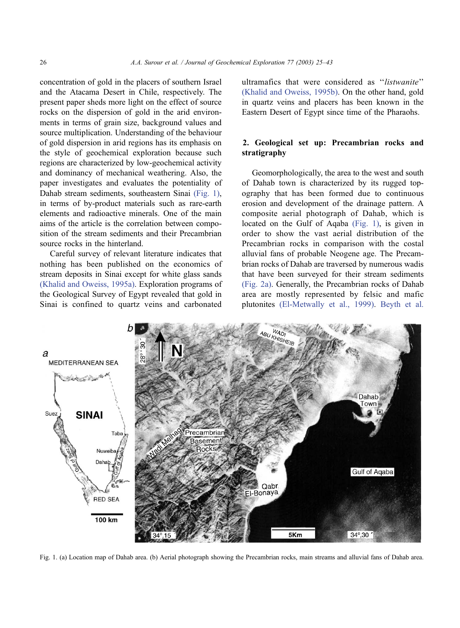concentration of gold in the placers of southern Israel and the Atacama Desert in Chile, respectively. The present paper sheds more light on the effect of source rocks on the dispersion of gold in the arid environments in terms of grain size, background values and source multiplication. Understanding of the behaviour of gold dispersion in arid regions has its emphasis on the style of geochemical exploration because such regions are characterized by low-geochemical activity and dominancy of mechanical weathering. Also, the paper investigates and evaluates the potentiality of Dahab stream sediments, southeastern Sinai (Fig. 1), in terms of by-product materials such as rare-earth elements and radioactive minerals. One of the main aims of the article is the correlation between composition of the stream sediments and their Precambrian source rocks in the hinterland.

Careful survey of relevant literature indicates that nothing has been published on the economics of stream deposits in Sinai except for white glass sands [\(Khalid and Oweiss, 1995a\).](#page-18-0) Exploration programs of the Geological Survey of Egypt revealed that gold in Sinai is confined to quartz veins and carbonated

ultramafics that were considered as "listwanite" [\(Khalid and Oweiss, 1995b\).](#page-18-0) On the other hand, gold in quartz veins and placers has been known in the Eastern Desert of Egypt since time of the Pharaohs.

# 2. Geological set up: Precambrian rocks and stratigraphy

Geomorphologically, the area to the west and south of Dahab town is characterized by its rugged topography that has been formed due to continuous erosion and development of the drainage pattern. A composite aerial photograph of Dahab, which is located on the Gulf of Aqaba (Fig. 1), is given in order to show the vast aerial distribution of the Precambrian rocks in comparison with the costal alluvial fans of probable Neogene age. The Precambrian rocks of Dahab are traversed by numerous wadis that have been surveyed for their stream sediments [\(Fig. 2a\).](#page-2-0) Generally, the Precambrian rocks of Dahab area are mostly represented by felsic and mafic plutonites [\(El-Metwally et al., 1999\).](#page-17-0) [Beyth et al.](#page-17-0)



Fig. 1. (a) Location map of Dahab area. (b) Aerial photograph showing the Precambrian rocks, main streams and alluvial fans of Dahab area.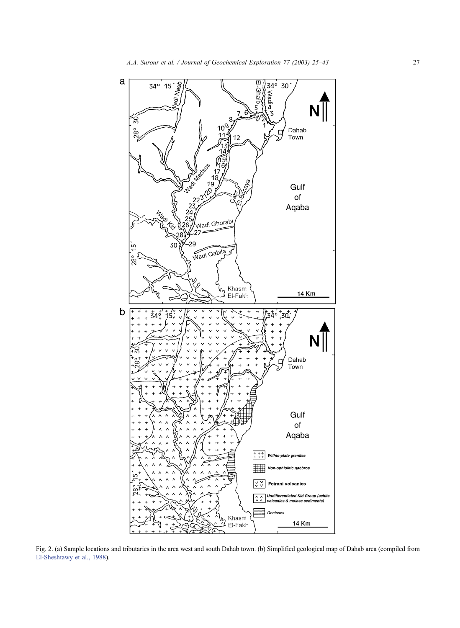<span id="page-2-0"></span>

Fig. 2. (a) Sample locations and tributaries in the area west and south Dahab town. (b) Simplified geological map of Dahab area (compiled from [El-Sheshtawy et al., 1988\)](#page-17-0).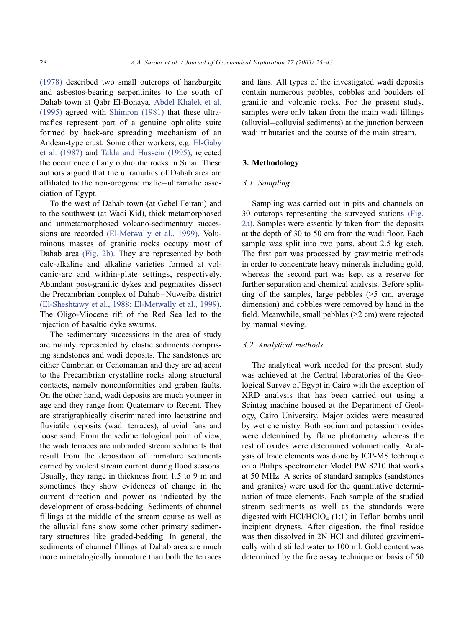(1978) described two small outcrops of harzburgite and asbestos-bearing serpentinites to the south of Dahab town at Qabr El-Bonaya. [Abdel Khalek et al.](#page-17-0) (1995) agreed with [Shimron \(1981\)](#page-18-0) that these ultramafics represent part of a genuine ophiolite suite formed by back-arc spreading mechanism of an Andean-type crust. Some other workers, e.g. [El-Gaby](#page-17-0) et al. (1987) and [Takla and Hussein \(1995\),](#page-18-0) rejected the occurrence of any ophiolitic rocks in Sinai. These authors argued that the ultramafics of Dahab area are affiliated to the non-orogenic mafic– ultramafic association of Egypt.

To the west of Dahab town (at Gebel Feirani) and to the southwest (at Wadi Kid), thick metamorphosed and unmetamorphosed volcano-sedimentary successions are recorded [\(El-Metwally et al., 1999\).](#page-17-0) Voluminous masses of granitic rocks occupy most of Dahab area [\(Fig. 2b\).](#page-2-0) They are represented by both calc-alkaline and alkaline varieties formed at volcanic-arc and within-plate settings, respectively. Abundant post-granitic dykes and pegmatites dissect the Precambrian complex of Dahab –Nuweiba district [\(El-Sheshtawy et al., 1988; El-Metwally et al., 1999\).](#page-17-0) The Oligo-Miocene rift of the Red Sea led to the injection of basaltic dyke swarms.

The sedimentary successions in the area of study are mainly represented by clastic sediments comprising sandstones and wadi deposits. The sandstones are either Cambrian or Cenomanian and they are adjacent to the Precambrian crystalline rocks along structural contacts, namely nonconformities and graben faults. On the other hand, wadi deposits are much younger in age and they range from Quaternary to Recent. They are stratigraphically discriminated into lacustrine and fluviatile deposits (wadi terraces), alluvial fans and loose sand. From the sedimentological point of view, the wadi terraces are unbraided stream sediments that result from the deposition of immature sediments carried by violent stream current during flood seasons. Usually, they range in thickness from 1.5 to 9 m and sometimes they show evidences of change in the current direction and power as indicated by the development of cross-bedding. Sediments of channel fillings at the middle of the stream course as well as the alluvial fans show some other primary sedimentary structures like graded-bedding. In general, the sediments of channel fillings at Dahab area are much more mineralogically immature than both the terraces and fans. All types of the investigated wadi deposits contain numerous pebbles, cobbles and boulders of granitic and volcanic rocks. For the present study, samples were only taken from the main wadi fillings (alluvial –colluvial sediments) at the junction between wadi tributaries and the course of the main stream.

# 3. Methodology

## 3.1. Sampling

Sampling was carried out in pits and channels on 30 outcrops representing the surveyed stations [\(Fig.](#page-2-0) 2a). Samples were essentially taken from the deposits at the depth of 30 to 50 cm from the wadi floor. Each sample was split into two parts, about 2.5 kg each. The first part was processed by gravimetric methods in order to concentrate heavy minerals including gold, whereas the second part was kept as a reserve for further separation and chemical analysis. Before splitting of the samples, large pebbles (>5 cm, average dimension) and cobbles were removed by hand in the field. Meanwhile, small pebbles (>2 cm) were rejected by manual sieving.

# 3.2. Analytical methods

The analytical work needed for the present study was achieved at the Central laboratories of the Geological Survey of Egypt in Cairo with the exception of XRD analysis that has been carried out using a Scintag machine housed at the Department of Geology, Cairo University. Major oxides were measured by wet chemistry. Both sodium and potassium oxides were determined by flame photometry whereas the rest of oxides were determined volumetrically. Analysis of trace elements was done by ICP-MS technique on a Philips spectrometer Model PW 8210 that works at 50 MHz. A series of standard samples (sandstones and granites) were used for the quantitative determination of trace elements. Each sample of the studied stream sediments as well as the standards were digested with  $HC/HClO<sub>4</sub> (1:1)$  in Teflon bombs until incipient dryness. After digestion, the final residue was then dissolved in 2N HCl and diluted gravimetrically with distilled water to 100 ml. Gold content was determined by the fire assay technique on basis of 50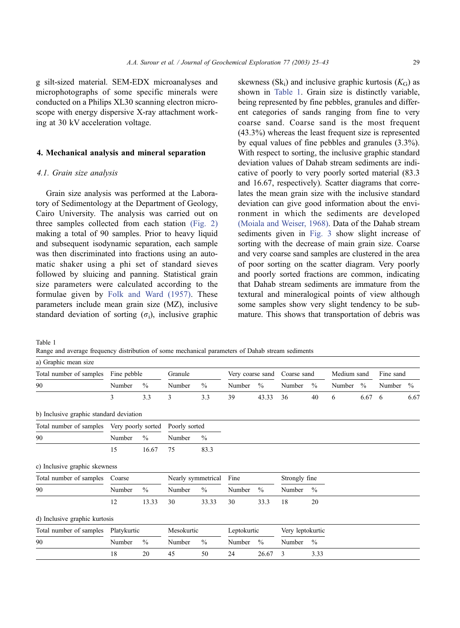g silt-sized material. SEM-EDX microanalyses and microphotographs of some specific minerals were conducted on a Philips XL30 scanning electron microscope with energy dispersive X-ray attachment working at 30 kV acceleration voltage.

## 4. Mechanical analysis and mineral separation

#### 4.1. Grain size analysis

Grain size analysis was performed at the Laboratory of Sedimentology at the Department of Geology, Cairo University. The analysis was carried out on three samples collected from each station [\(Fig. 2\)](#page-2-0) making a total of 90 samples. Prior to heavy liquid and subsequent isodynamic separation, each sample was then discriminated into fractions using an automatic shaker using a phi set of standard sieves followed by sluicing and panning. Statistical grain size parameters were calculated according to the formulae given by [Folk and Ward \(1957\).](#page-17-0) These parameters include mean grain size (MZ), inclusive standard deviation of sorting  $(\sigma_i)$ , inclusive graphic

skewness (Sk<sub>i</sub>) and inclusive graphic kurtosis ( $K_G$ ) as shown in Table 1. Grain size is distinctly variable, being represented by fine pebbles, granules and different categories of sands ranging from fine to very coarse sand. Coarse sand is the most frequent (43.3%) whereas the least frequent size is represented by equal values of fine pebbles and granules (3.3%). With respect to sorting, the inclusive graphic standard deviation values of Dahab stream sediments are indicative of poorly to very poorly sorted material (83.3 and 16.67, respectively). Scatter diagrams that correlates the mean grain size with the inclusive standard deviation can give good information about the environment in which the sediments are developed [\(Moiala and Weiser, 1968\).](#page-18-0) Data of the Dahab stream sediments given in [Fig. 3](#page-5-0) show slight increase of sorting with the decrease of main grain size. Coarse and very coarse sand samples are clustered in the area of poor sorting on the scatter diagram. Very poorly and poorly sorted fractions are common, indicating that Dahab stream sediments are immature from the textural and mineralogical points of view although some samples show very slight tendency to be submature. This shows that transportation of debris was

Table 1

Range and average frequency distribution of some mechanical parameters of Dahab stream sediments

| a) Graphic mean size                    |                    |               |                    |               |             |                  |                  |               |             |               |           |               |
|-----------------------------------------|--------------------|---------------|--------------------|---------------|-------------|------------------|------------------|---------------|-------------|---------------|-----------|---------------|
| Total number of samples                 | Fine pebble        |               | Granule            |               |             | Very coarse sand |                  | Coarse sand   | Medium sand |               | Fine sand |               |
| 90                                      | Number             | $\frac{0}{0}$ | Number             | $\%$          | Number      | $\frac{0}{0}$    | Number           | $\frac{0}{0}$ | Number      | $\frac{0}{0}$ | Number    | $\frac{0}{0}$ |
|                                         | 3                  | 3.3           | 3                  | 3.3           | 39          | 43.33            | 36               | 40            | 6           | 6.67          | 6         | 6.67          |
| b) Inclusive graphic standard deviation |                    |               |                    |               |             |                  |                  |               |             |               |           |               |
| Total number of samples                 | Very poorly sorted |               |                    | Poorly sorted |             |                  |                  |               |             |               |           |               |
| 90                                      | Number             | $\%$          | Number             | $\frac{0}{0}$ |             |                  |                  |               |             |               |           |               |
|                                         | 15                 | 16.67         | 75                 | 83.3          |             |                  |                  |               |             |               |           |               |
| c) Inclusive graphic skewness           |                    |               |                    |               |             |                  |                  |               |             |               |           |               |
| Total number of samples                 | Coarse             |               | Nearly symmetrical |               | Fine        |                  | Strongly fine    |               |             |               |           |               |
| 90                                      | Number             | $\frac{0}{0}$ | Number             | $\%$          | Number      | $\frac{0}{0}$    | Number           | $\frac{0}{0}$ |             |               |           |               |
|                                         | 12                 | 13.33         | 30                 | 33.33         | 30          | 33.3             | 18               | 20            |             |               |           |               |
| d) Inclusive graphic kurtosis           |                    |               |                    |               |             |                  |                  |               |             |               |           |               |
| Total number of samples                 | Platykurtic        |               | Mesokurtic         |               | Leptokurtic |                  | Very leptokurtic |               |             |               |           |               |
| 90                                      | Number             | $\frac{0}{0}$ | Number             | $\frac{0}{0}$ | Number      | $\frac{0}{0}$    | Number           | $\frac{0}{0}$ |             |               |           |               |
|                                         | 18                 | 20            | 45                 | 50            | 24          | 26.67            | 3                | 3.33          |             |               |           |               |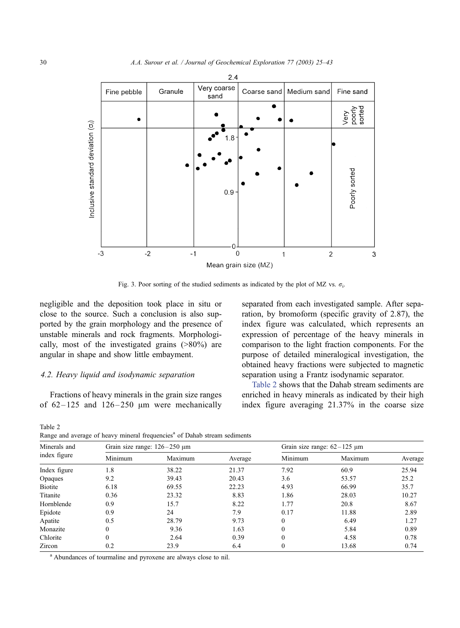<span id="page-5-0"></span>

Fig. 3. Poor sorting of the studied sediments as indicated by the plot of MZ vs.  $\sigma_i$ .

negligible and the deposition took place in situ or close to the source. Such a conclusion is also supported by the grain morphology and the presence of unstable minerals and rock fragments. Morphologically, most of the investigated grains (>80%) are angular in shape and show little embayment.

# 4.2. Heavy liquid and isodynamic separation

Fractions of heavy minerals in the grain size ranges of  $62 - 125$  and  $126 - 250$  µm were mechanically separated from each investigated sample. After separation, by bromoform (specific gravity of 2.87), the index figure was calculated, which represents an expression of percentage of the heavy minerals in comparison to the light fraction components. For the purpose of detailed mineralogical investigation, the obtained heavy fractions were subjected to magnetic separation using a Frantz isodynamic separator.

Table 2 shows that the Dahab stream sediments are enriched in heavy minerals as indicated by their high index figure averaging 21.37% in the coarse size

| ш<br>ш |  |
|--------|--|
|--------|--|

|  |  |  | Range and average of heavy mineral frequencies <sup>a</sup> of Dahab stream sediments |  |  |
|--|--|--|---------------------------------------------------------------------------------------|--|--|
|  |  |  |                                                                                       |  |  |

| Minerals and   | Grain size range: $126-250 \mu m$ |         |         |          | Grain size range: $62-125 \mu m$ |         |  |  |
|----------------|-----------------------------------|---------|---------|----------|----------------------------------|---------|--|--|
| index figure   | Minimum                           | Maximum | Average | Minimum  | Maximum                          | Average |  |  |
| Index figure   | 1.8                               | 38.22   | 21.37   | 7.92     | 60.9                             | 25.94   |  |  |
| Opaques        | 9.2                               | 39.43   | 20.43   | 3.6      | 53.57                            | 25.2    |  |  |
| <b>Biotite</b> | 6.18                              | 69.55   | 22.23   | 4.93     | 66.99                            | 35.7    |  |  |
| Titanite       | 0.36                              | 23.32   | 8.83    | 1.86     | 28.03                            | 10.27   |  |  |
| Hornblende     | 0.9                               | 15.7    | 8.22    | 1.77     | 20.8                             | 8.67    |  |  |
| Epidote        | 0.9                               | 24      | 7.9     | 0.17     | 11.88                            | 2.89    |  |  |
| Apatite        | 0.5                               | 28.79   | 9.73    | $\theta$ | 6.49                             | 1.27    |  |  |
| Monazite       | $\Omega$                          | 9.36    | 1.63    | $\Omega$ | 5.84                             | 0.89    |  |  |
| Chlorite       | $\Omega$                          | 2.64    | 0.39    | $\Omega$ | 4.58                             | 0.78    |  |  |
| Zircon         | 0.2                               | 23.9    | 6.4     | 0        | 13.68                            | 0.74    |  |  |

<sup>a</sup> Abundances of tourmaline and pyroxene are always close to nil.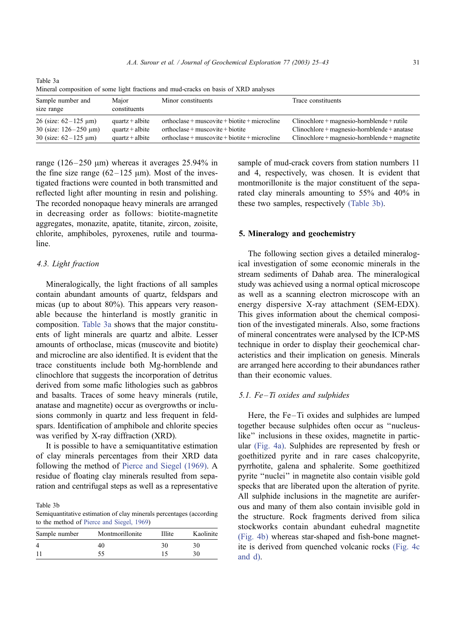| ivinicial composition of some right hactions and mud-clacks on basis of AKD analyses      |                                        |                                                                                        |                                                                                               |  |  |  |  |
|-------------------------------------------------------------------------------------------|----------------------------------------|----------------------------------------------------------------------------------------|-----------------------------------------------------------------------------------------------|--|--|--|--|
| Sample number and<br>size range                                                           | Major<br>constituents                  | Minor constituents                                                                     | Trace constituents                                                                            |  |  |  |  |
| 26 (size: $62 - 125 \text{ }\mu\text{m}$ )<br>30 (size: $126 - 250 \text{ }\mu\text{m}$ ) | $quartz + albite$<br>$quartz + albite$ | $orthoclase + musicovite + biotic + microcline$<br>$orthoclase + musicovite + biotite$ | $Clinochlore + magnesio-hornblende + rutile$<br>$Clinochlore + magnesio-hornblende + anatase$ |  |  |  |  |
| 30 (size: $62 - 125 \text{ }\mu\text{m}$ )                                                | $quartz + albite$                      | $orthoclase + museovite + biotite + microcline$                                        | $Clinochlore + magnesio-hornblende + magnetite$                                               |  |  |  |  |

Table 3a Mineral composition of some light fractions and mud-cracks on basis of XRD analyses

range (126 $-250 \text{ }\mu\text{m}$ ) whereas it averages 25.94% in the fine size range  $(62-125 \mu m)$ . Most of the investigated fractions were counted in both transmitted and reflected light after mounting in resin and polishing. The recorded nonopaque heavy minerals are arranged in decreasing order as follows: biotite-magnetite aggregates, monazite, apatite, titanite, zircon, zoisite, chlorite, amphiboles, pyroxenes, rutile and tourmaline.

## 4.3. Light fraction

Mineralogically, the light fractions of all samples contain abundant amounts of quartz, feldspars and micas (up to about 80%). This appears very reasonable because the hinterland is mostly granitic in composition. Table 3a shows that the major constituents of light minerals are quartz and albite. Lesser amounts of orthoclase, micas (muscovite and biotite) and microcline are also identified. It is evident that the trace constituents include both Mg-hornblende and clinochlore that suggests the incorporation of detritus derived from some mafic lithologies such as gabbros and basalts. Traces of some heavy minerals (rutile, anatase and magnetite) occur as overgrowths or inclusions commonly in quartz and less frequent in feldspars. Identification of amphibole and chlorite species was verified by X-ray diffraction (XRD).

It is possible to have a semiquantitative estimation of clay minerals percentages from their XRD data following the method of [Pierce and Siegel \(1969\).](#page-18-0) A residue of floating clay minerals resulted from separation and centrifugal steps as well as a representative

Table 3b

Semiquantitative estimation of clay minerals percentages (according to the method of [Pierce and Siegel, 1969\)](#page-18-0)

| Sample number | Montmorillonite | <b>Illite</b> | Kaolinite |
|---------------|-----------------|---------------|-----------|
|               | 40              | 30            | 30        |
|               | 55              | 15            |           |

sample of mud-crack covers from station numbers 11 and 4, respectively, was chosen. It is evident that montmorillonite is the major constituent of the separated clay minerals amounting to 55% and 40% in these two samples, respectively (Table 3b).

## 5. Mineralogy and geochemistry

The following section gives a detailed mineralogical investigation of some economic minerals in the stream sediments of Dahab area. The mineralogical study was achieved using a normal optical microscope as well as a scanning electron microscope with an energy dispersive X-ray attachment (SEM-EDX). This gives information about the chemical composition of the investigated minerals. Also, some fractions of mineral concentrates were analysed by the ICP-MS technique in order to display their geochemical characteristics and their implication on genesis. Minerals are arranged here according to their abundances rather than their economic values.

#### $5.1. Fe-Ti$  oxides and sulphides

Here, the Fe-Ti oxides and sulphides are lumped together because sulphides often occur as ''nucleuslike" inclusions in these oxides, magnetite in particular [\(Fig. 4a\).](#page-7-0) Sulphides are represented by fresh or goethitized pyrite and in rare cases chalcopyrite, pyrrhotite, galena and sphalerite. Some goethitized pyrite ''nuclei'' in magnetite also contain visible gold specks that are liberated upon the alteration of pyrite. All sulphide inclusions in the magnetite are auriferous and many of them also contain invisible gold in the structure. Rock fragments derived from silica stockworks contain abundant euhedral magnetite [\(Fig. 4b\)](#page-7-0) whereas star-shaped and fish-bone magnetite is derived from quenched volcanic rocks [\(Fig. 4c](#page-7-0) and d).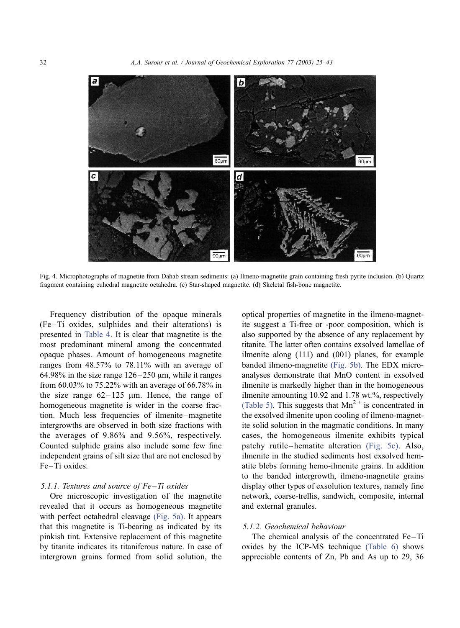<span id="page-7-0"></span>

Fig. 4. Microphotographs of magnetite from Dahab stream sediments: (a) Ilmeno-magnetite grain containing fresh pyrite inclusion. (b) Quartz fragment containing euhedral magnetite octahedra. (c) Star-shaped magnetite. (d) Skeletal fish-bone magnetite.

Frequency distribution of the opaque minerals (Fe –Ti oxides, sulphides and their alterations) is presented in [Table 4.](#page-8-0) It is clear that magnetite is the most predominant mineral among the concentrated opaque phases. Amount of homogeneous magnetite ranges from 48.57% to 78.11% with an average of 64.98% in the size range  $126 - 250 \,\mu m$ , while it ranges from 60.03% to 75.22% with an average of 66.78% in the size range  $62-125$  µm. Hence, the range of homogeneous magnetite is wider in the coarse fraction. Much less frequencies of ilmenite–magnetite intergrowths are observed in both size fractions with the averages of 9.86% and 9.56%, respectively. Counted sulphide grains also include some few fine independent grains of silt size that are not enclosed by Fe-Ti oxides.

# 5.1.1. Textures and source of Fe-Ti oxides

Ore microscopic investigation of the magnetite revealed that it occurs as homogeneous magnetite with perfect octahedral cleavage [\(Fig. 5a\).](#page-9-0) It appears that this magnetite is Ti-bearing as indicated by its pinkish tint. Extensive replacement of this magnetite by titanite indicates its titaniferous nature. In case of intergrown grains formed from solid solution, the

optical properties of magnetite in the ilmeno-magnetite suggest a Ti-free or -poor composition, which is also supported by the absence of any replacement by titanite. The latter often contains exsolved lamellae of ilmenite along (111) and (001) planes, for example banded ilmeno-magnetite [\(Fig. 5b\).](#page-9-0) The EDX microanalyses demonstrate that MnO content in exsolved ilmenite is markedly higher than in the homogeneous ilmenite amounting 10.92 and 1.78 wt.%, respectively [\(Table 5\).](#page-10-0) This suggests that  $Mn^{2+}$  is concentrated in the exsolved ilmenite upon cooling of ilmeno-magnetite solid solution in the magmatic conditions. In many cases, the homogeneous ilmenite exhibits typical patchy rutile-hematite alteration [\(Fig. 5c\).](#page-9-0) Also, ilmenite in the studied sediments host exsolved hematite blebs forming hemo-ilmenite grains. In addition to the banded intergrowth, ilmeno-magnetite grains display other types of exsolution textures, namely fine network, coarse-trellis, sandwich, composite, internal and external granules.

## 5.1.2. Geochemical behaviour

The chemical analysis of the concentrated Fe-Ti oxides by the ICP-MS technique [\(Table 6\)](#page-10-0) shows appreciable contents of Zn, Pb and As up to 29, 36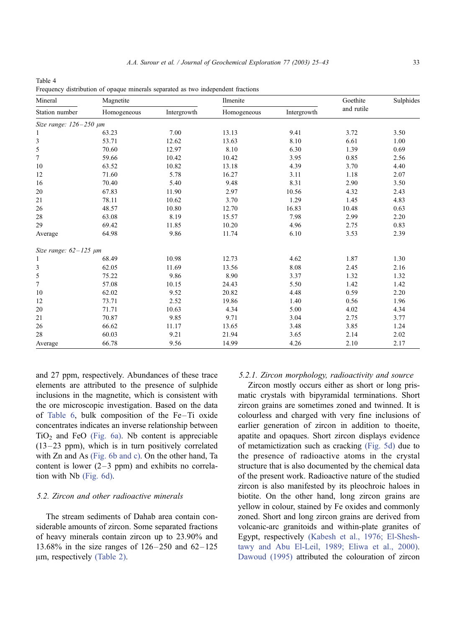<span id="page-8-0"></span>Table 4 Frequency distribution of opaque minerals separated as two independent fractions

| Mineral                   | Magnetite   |             | Ilmenite    |             | Goethite   | Sulphides |  |
|---------------------------|-------------|-------------|-------------|-------------|------------|-----------|--|
| Station number            | Homogeneous | Intergrowth | Homogeneous | Intergrowth | and rutile |           |  |
| Size range: 126-250 µm    |             |             |             |             |            |           |  |
| 1                         | 63.23       | 7.00        | 13.13       | 9.41        | 3.72       | 3.50      |  |
| 3                         | 53.71       | 12.62       | 13.63       | 8.10        | 6.61       | 1.00      |  |
| 5                         | 70.60       | 12.97       | 8.10        | 6.30        | 1.39       | 0.69      |  |
| $\overline{7}$            | 59.66       | 10.42       | 10.42       | 3.95        | 0.85       | 2.56      |  |
| 10                        | 63.52       | 10.82       | 13.18       | 4.39        | 3.70       | 4.40      |  |
| 12                        | 71.60       | 5.78        | 16.27       | 3.11        | 1.18       | 2.07      |  |
| 16                        | 70.40       | 5.40        | 9.48        | 8.31        | 2.90       | 3.50      |  |
| 20                        | 67.83       | 11.90       | 2.97        | 10.56       | 4.32       | 2.43      |  |
| 21                        | 78.11       | 10.62       | 3.70        | 1.29        | 1.45       | 4.83      |  |
| 26                        | 48.57       | 10.80       | 12.70       | 16.83       | 10.48      | 0.63      |  |
| 28                        | 63.08       | 8.19        | 15.57       | 7.98        | 2.99       | 2.20      |  |
| 29                        | 69.42       | 11.85       | 10.20       | 4.96        | 2.75       | 0.83      |  |
| Average                   | 64.98       | 9.86        | 11.74       | 6.10        | 3.53       | 2.39      |  |
| Size range: $62 - 125$ µm |             |             |             |             |            |           |  |
| 1                         | 68.49       | 10.98       | 12.73       | 4.62        | 1.87       | 1.30      |  |
| 3                         | 62.05       | 11.69       | 13.56       | 8.08        | 2.45       | 2.16      |  |
| 5                         | 75.22       | 9.86        | 8.90        | 3.37        | 1.32       | 1.32      |  |
| 7                         | 57.08       | 10.15       | 24.43       | 5.50        | 1.42       | 1.42      |  |
| 10                        | 62.02       | 9.52        | 20.82       | 4.48        | 0.59       | 2.20      |  |
| 12                        | 73.71       | 2.52        | 19.86       | 1.40        | 0.56       | 1.96      |  |
| 20                        | 71.71       | 10.63       | 4.34        | 5.00        | 4.02       | 4.34      |  |
| 21                        | 70.87       | 9.85        | 9.71        | 3.04        | 2.75       | 3.77      |  |
| 26                        | 66.62       | 11.17       | 13.65       | 3.48        | 3.85       | 1.24      |  |
| 28                        | 60.03       | 9.21        | 21.94       | 3.65        | 2.14       | 2.02      |  |
| Average                   | 66.78       | 9.56        | 14.99       | 4.26        | 2.10       | 2.17      |  |

and 27 ppm, respectively. Abundances of these trace elements are attributed to the presence of sulphide inclusions in the magnetite, which is consistent with the ore microscopic investigation. Based on the data of [Table 6,](#page-10-0) bulk composition of the Fe –Ti oxide concentrates indicates an inverse relationship between  $TiO<sub>2</sub>$  and FeO [\(Fig. 6a\).](#page-11-0) Nb content is appreciable  $(13-23$  ppm), which is in turn positively correlated with Zn and As [\(Fig. 6b and c\).](#page-11-0) On the other hand, Ta content is lower  $(2-3$  ppm) and exhibits no correlation with Nb [\(Fig. 6d\).](#page-11-0)

# 5.2. Zircon and other radioactive minerals

The stream sediments of Dahab area contain considerable amounts of zircon. Some separated fractions of heavy minerals contain zircon up to 23.90% and 13.68% in the size ranges of  $126 - 250$  and  $62 - 125$  $\mu$ m, respectively [\(Table 2\).](#page-5-0)

#### 5.2.1. Zircon morphology, radioactivity and source

Zircon mostly occurs either as short or long prismatic crystals with bipyramidal terminations. Short zircon grains are sometimes zoned and twinned. It is colourless and charged with very fine inclusions of earlier generation of zircon in addition to thoeite, apatite and opaques. Short zircon displays evidence of metamictization such as cracking [\(Fig. 5d\)](#page-9-0) due to the presence of radioactive atoms in the crystal structure that is also documented by the chemical data of the present work. Radioactive nature of the studied zircon is also manifested by its pleochroic haloes in biotite. On the other hand, long zircon grains are yellow in colour, stained by Fe oxides and commonly zoned. Short and long zircon grains are derived from volcanic-arc granitoids and within-plate granites of Egypt, respectively [\(Kabesh et al., 1976; El-Shesh](#page-18-0)tawy and Abu El-Leil, 1989; Eliwa et al., 2000). [Dawoud \(1995\)](#page-17-0) attributed the colouration of zircon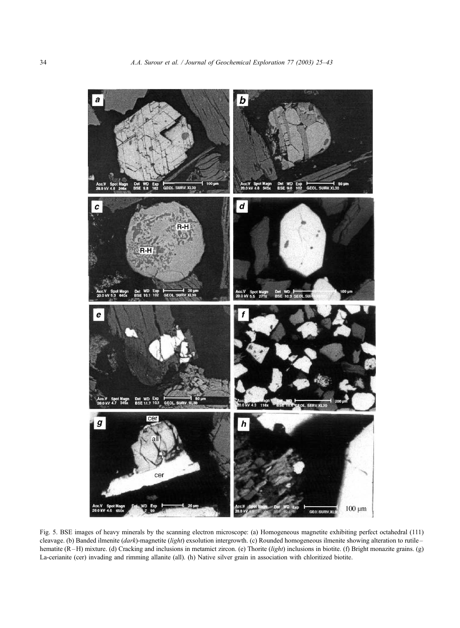<span id="page-9-0"></span>

Fig. 5. BSE images of heavy minerals by the scanning electron microscope: (a) Homogeneous magnetite exhibiting perfect octahedral (111) cleavage. (b) Banded ilmenite (dark)-magnetite (light) exsolution intergrowth. (c) Rounded homogeneous ilmenite showing alteration to rutile hematite (R-H) mixture. (d) Cracking and inclusions in metamict zircon. (e) Thorite (light) inclusions in biotite. (f) Bright monazite grains. (g) La-cerianite (cer) invading and rimming allanite (all). (h) Native silver grain in association with chloritized biotite.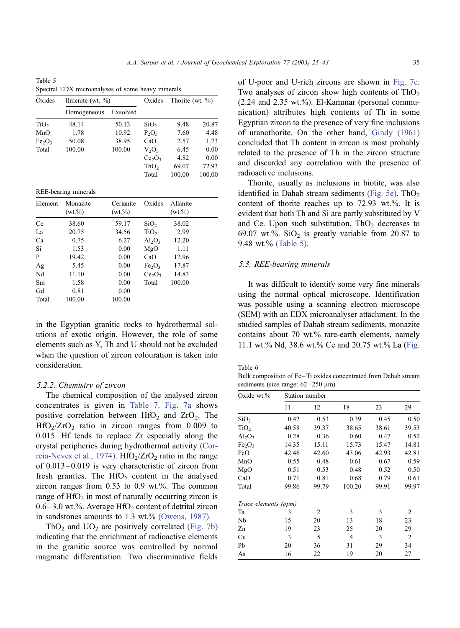<span id="page-10-0"></span>Table 5 Spectral EDX microanalyses of some heavy minerals

| Oxides                         | Ilmenite (wt. $\%$ )    |                          | Oxides                         | Thorite (wt. $\%$ )     |        |  |
|--------------------------------|-------------------------|--------------------------|--------------------------------|-------------------------|--------|--|
|                                | Homogeneous             | Exsolved                 |                                |                         |        |  |
| TiO <sub>2</sub>               | 48.14                   | 50.13                    | SiO <sub>2</sub>               | 9.48                    | 20.87  |  |
| MnO                            | 1.78                    | 10.92                    | $P_2O_5$                       | 7.60                    | 4.48   |  |
| Fe <sub>2</sub> O <sub>3</sub> | 50.08                   | 38.95                    | CaO                            | 2.57                    | 1.73   |  |
| Total                          | 100.00                  | 100.00                   | $V_2O_5$                       | 6.45                    | 0.00   |  |
|                                |                         |                          | Ce <sub>2</sub> O <sub>3</sub> | 4.82                    | 0.00   |  |
|                                |                         |                          | ThO <sub>2</sub>               | 69.07                   | 72.93  |  |
|                                |                         |                          | Total                          | 100.00                  | 100.00 |  |
|                                | REE-bearing minerals    |                          |                                |                         |        |  |
| Element                        | Monazite<br>$(wt. \% )$ | Cerianite<br>$(wt. \% )$ | Oxides                         | Allanite<br>$(wt. \% )$ |        |  |

|       | $(wt. \% )$ | $(wt. \% )$ |                                | $(wt. \% )$ |  |
|-------|-------------|-------------|--------------------------------|-------------|--|
| Ce    | 38.60       | 59.17       | SiO <sub>2</sub>               | 38.02       |  |
| La    | 20.75       | 34.56       | TiO <sub>2</sub>               | 2.99        |  |
| Ca    | 0.75        | 6.27        | $Al_2O_3$                      | 12.20       |  |
| Si    | 1.53        | 0.00        | MgO                            | 1.11        |  |
| P     | 19.42       | 0.00        | CaO                            | 12.96       |  |
| Ag    | 5.45        | 0.00        | Fe <sub>2</sub> O <sub>3</sub> | 17.87       |  |
| Nd    | 11.10       | 0.00        | Ce <sub>2</sub> O <sub>3</sub> | 14.83       |  |
| Sm    | 1.58        | 0.00        | Total                          | 100.00      |  |
| Gd    | 0.81        | 0.00        |                                |             |  |
| Total | 100.00      | 100.00      |                                |             |  |

in the Egyptian granitic rocks to hydrothermal solutions of exotic origin. However, the role of some elements such as Y, Th and U should not be excluded when the question of zircon colouration is taken into consideration.

## 5.2.2. Chemistry of zircon

The chemical composition of the analysed zircon concentrates is given in [Table 7.](#page-11-0) [Fig. 7a](#page-12-0) shows positive correlation between  $HfO<sub>2</sub>$  and  $ZrO<sub>2</sub>$ . The  $HfO<sub>2</sub>/ZrO<sub>2</sub>$  ratio in zircon ranges from 0.009 to 0.015. Hf tends to replace Zr especially along the crystal peripheries during hydrothermal activity [\(Cor](#page-17-0)reia-Neves et al., 1974).  $HfO_2/ZrO_2$  ratio in the range of 0.013 –0.019 is very characteristic of zircon from fresh granites. The  $HfO<sub>2</sub>$  content in the analysed zircon ranges from 0.53 to 0.9 wt.%. The common range of  $HfO<sub>2</sub>$  in most of naturally occurring zircon is  $0.6 - 3.0$  wt.%. Average HfO<sub>2</sub> content of detrital zircon in sandstones amounts to 1.3 wt.% [\(Owens, 1987\).](#page-18-0)

 $ThO<sub>2</sub>$  and  $UO<sub>2</sub>$  are positively correlated [\(Fig. 7b\)](#page-12-0) indicating that the enrichment of radioactive elements in the granitic source was controlled by normal magmatic differentiation. Two discriminative fields

of U-poor and U-rich zircons are shown in [Fig. 7c.](#page-12-0) Two analyses of zircon show high contents of  $ThO<sub>2</sub>$  $(2.24$  and  $2.35$  wt.%). El-Kammar (personal communication) attributes high contents of Th in some Egyptian zircon to the presence of very fine inclusions of uranothorite. On the other hand, [Gindy \(1961\)](#page-17-0) concluded that Th content in zircon is most probably related to the presence of Th in the zircon structure and discarded any correlation with the presence of radioactive inclusions.

Thorite, usually as inclusions in biotite, was also identified in Dahab stream sediments [\(Fig. 5e\).](#page-9-0)  $ThO<sub>2</sub>$ content of thorite reaches up to 72.93 wt.%. It is evident that both Th and Si are partly substituted by V and Ce. Upon such substitution,  $ThO<sub>2</sub>$  decreases to 69.07 wt.%.  $SiO<sub>2</sub>$  is greatly variable from 20.87 to 9.48 wt.% (Table 5).

## 5.3. REE-bearing minerals

It was difficult to identify some very fine minerals using the normal optical microscope. Identification was possible using a scanning electron microscope (SEM) with an EDX microanalyser attachment. In the studied samples of Dahab stream sediments, monazite contains about 70 wt.% rare-earth elements, namely 11.1 wt.% Nd, 38.6 wt.% Ce and 20.75 wt.% La ([Fig.](#page-9-0)

Table 6

Bulk composition of Fe – Ti oxides concentrated from Dahab stream sediments (size range:  $62 - 250 \mu m$ )

| Oxide $wt$ %                   |       | Station number |                |       |                |  |  |  |  |  |  |
|--------------------------------|-------|----------------|----------------|-------|----------------|--|--|--|--|--|--|
|                                |       |                |                |       |                |  |  |  |  |  |  |
|                                | 11    | 12             | 18             | 23    | 29             |  |  |  |  |  |  |
| SiO <sub>2</sub>               | 0.42  | 0.53           | 0.39           | 0.45  | 0.50           |  |  |  |  |  |  |
| TiO <sub>2</sub>               | 40.58 | 39.37          | 38.65          | 38.61 | 39.53          |  |  |  |  |  |  |
| $Al_2O_3$                      | 0.28  | 0.36           | 0.60           | 0.47  | 0.52           |  |  |  |  |  |  |
| Fe <sub>2</sub> O <sub>3</sub> | 14.35 | 15.11          | 15.73          | 15.47 | 14.81          |  |  |  |  |  |  |
| FeO                            | 42.46 | 42.60          | 43.06          | 42.93 | 42.81          |  |  |  |  |  |  |
| MnO                            | 0.55  | 0.48           | 0.61           | 0.67  | 0.59           |  |  |  |  |  |  |
| MgO                            | 0.51  | 0.53           | 0.48           | 0.52  | 0.50           |  |  |  |  |  |  |
| CaO                            | 0.71  | 0.81           | 0.68           | 0.79  | 0.61           |  |  |  |  |  |  |
| Total                          | 99.86 | 99.79          | 100.20         | 99.91 | 99.97          |  |  |  |  |  |  |
| Trace elements (ppm)           |       |                |                |       |                |  |  |  |  |  |  |
| Ta                             | 3     | 2              | 3              | 3     | $\overline{2}$ |  |  |  |  |  |  |
| Nb                             | 15    | 20             | 13             | 18    | 23             |  |  |  |  |  |  |
| Zn                             | 19    | 23             | 25             | 20    | 29             |  |  |  |  |  |  |
| Cu                             | 3     | 5              | $\overline{4}$ | 3     | 2              |  |  |  |  |  |  |
| Pb                             | 20    | 36             | 31             | 29    | 34             |  |  |  |  |  |  |
| As                             | 16    | 22             | 19             | 20    | 27             |  |  |  |  |  |  |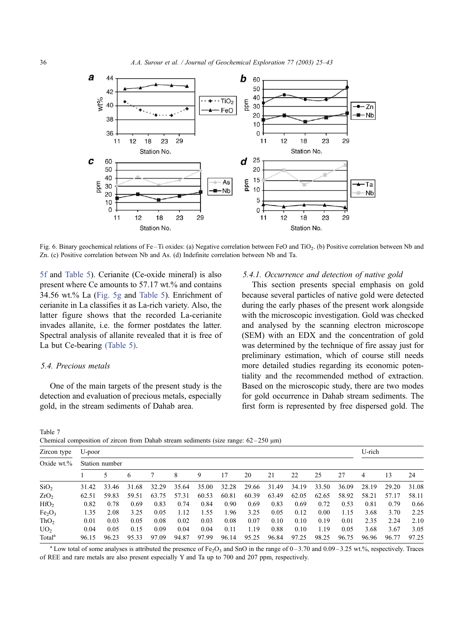<span id="page-11-0"></span>

Fig. 6. Binary geochemical relations of Fe-Ti oxides: (a) Negative correlation between FeO and TiO<sub>2</sub>. (b) Positive correlation between Nb and Zn. (c) Positive correlation between Nb and As. (d) Indefinite correlation between Nb and Ta.

5f and [Table 5\)](#page-10-0). Cerianite (Ce-oxide mineral) is also present where Ce amounts to 57.17 wt.% and contains 34.56 wt.% La ([Fig. 5g](#page-9-0) and [Table 5\)](#page-10-0). Enrichment of cerianite in La classifies it as La-rich variety. Also, the latter figure shows that the recorded La-cerianite invades allanite, i.e. the former postdates the latter. Spectral analysis of allanite revealed that it is free of La but Ce-bearing [\(Table 5\).](#page-10-0)

## 5.4. Precious metals

One of the main targets of the present study is the detection and evaluation of precious metals, especially gold, in the stream sediments of Dahab area.

## 5.4.1. Occurrence and detection of native gold

This section presents special emphasis on gold because several particles of native gold were detected during the early phases of the present work alongside with the microscopic investigation. Gold was checked and analysed by the scanning electron microscope (SEM) with an EDX and the concentration of gold was determined by the technique of fire assay just for preliminary estimation, which of course still needs more detailed studies regarding its economic potentiality and the recommended method of extraction. Based on the microscopic study, there are two modes for gold occurrence in Dahab stream sediments. The first form is represented by free dispersed gold. The

Table 7

Chemical composition of zircon from Dahab stream sediments (size range:  $62-250 \mu m$ )

| Zircon type                    | U-poor |                |       |       |       |       |       |       |       |       |       |       | U-rich |       |       |
|--------------------------------|--------|----------------|-------|-------|-------|-------|-------|-------|-------|-------|-------|-------|--------|-------|-------|
| Oxide wt. $%$                  |        |                |       |       |       |       |       |       |       |       |       |       |        |       |       |
|                                |        | Station number |       |       |       |       |       |       |       |       |       |       |        |       |       |
|                                |        |                | 6     |       | 8     | 9     | 17    | 20    | 21    | 22    | 25    | 27    | 4      | 13    | 24    |
| SiO <sub>2</sub>               | 31.42  | 33.46          | 31.68 | 32.29 | 35.64 | 35.00 | 32.28 | 29.66 | 31.49 | 34.19 | 33.50 | 36.09 | 28.19  | 29.20 | 31.08 |
| ZrO <sub>2</sub>               | 62.51  | 59.83          | 59.51 | 63.75 | 57.31 | 60.53 | 60.81 | 60.39 | 63.49 | 62.05 | 62.65 | 58.92 | 58.21  | 57.17 | 58.11 |
| HfO <sub>2</sub>               | 0.82   | 0.78           | 0.69  | 0.83  | 0.74  | 0.84  | 0.90  | 0.69  | 0.83  | 0.69  | 0.72  | 0.53  | 0.81   | 0.79  | 0.66  |
| Fe <sub>2</sub> O <sub>3</sub> | 1.35   | 2.08           | 3.25  | 0.05  | 1.12  | 1.55  | 1.96  | 3.25  | 0.05  | 0.12  | 0.00  | 1.15  | 3.68   | 3.70  | 2.25  |
| ThO <sub>2</sub>               | 0.01   | 0.03           | 0.05  | 0.08  | 0.02  | 0.03  | 0.08  | 0.07  | 0.10  | 0.10  | 0.19  | 0.01  | 2.35   | 2.24  | 2.10  |
| UO <sub>2</sub>                | 0.04   | 0.05           | 0.15  | 0.09  | 0.04  | 0.04  | 0.11  | 1.19  | 0.88  | 0.10  | 1.19  | 0.05  | 3.68   | 3.67  | 3.05  |
| Total <sup>a</sup>             | 96.15  | 96.23          | 95.33 | 97.09 | 94.87 | 97.99 | 96.14 | 95.25 | 96.84 | 97.25 | 98.25 | 96.75 | 96.96  | 96.77 | 97.25 |

<sup>a</sup> Low total of some analyses is attributed the presence of Fe<sub>2</sub>O<sub>3</sub> and SnO in the range of  $0-3.70$  and  $0.09-3.25$  wt.%, respectively. Traces of REE and rare metals are also present especially Y and Ta up to 700 and 207 ppm, respectively.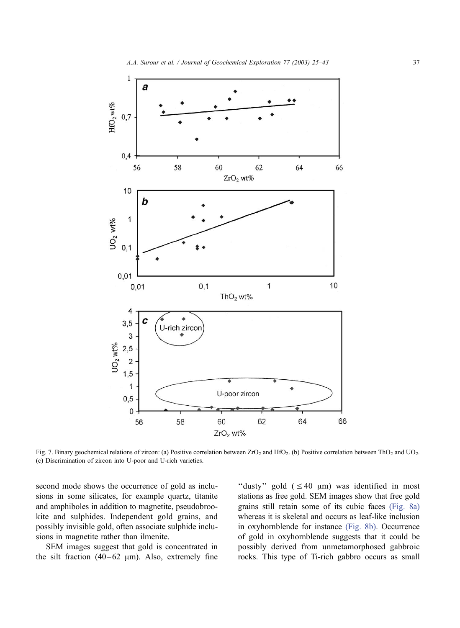<span id="page-12-0"></span>

Fig. 7. Binary geochemical relations of zircon: (a) Positive correlation between ZrO<sub>2</sub> and HfO<sub>2</sub>. (b) Positive correlation between ThO<sub>2</sub> and UO<sub>2</sub>. (c) Discrimination of zircon into U-poor and U-rich varieties.

second mode shows the occurrence of gold as inclusions in some silicates, for example quartz, titanite and amphiboles in addition to magnetite, pseudobrookite and sulphides. Independent gold grains, and possibly invisible gold, often associate sulphide inclusions in magnetite rather than ilmenite.

SEM images suggest that gold is concentrated in the silt fraction  $(40-62 \mu m)$ . Also, extremely fine "dusty" gold  $( \leq 40 \mu m)$  was identified in most stations as free gold. SEM images show that free gold grains still retain some of its cubic faces [\(Fig. 8a\)](#page-13-0) whereas it is skeletal and occurs as leaf-like inclusion in oxyhornblende for instance [\(Fig. 8b\).](#page-13-0) Occurrence of gold in oxyhornblende suggests that it could be possibly derived from unmetamorphosed gabbroic rocks. This type of Ti-rich gabbro occurs as small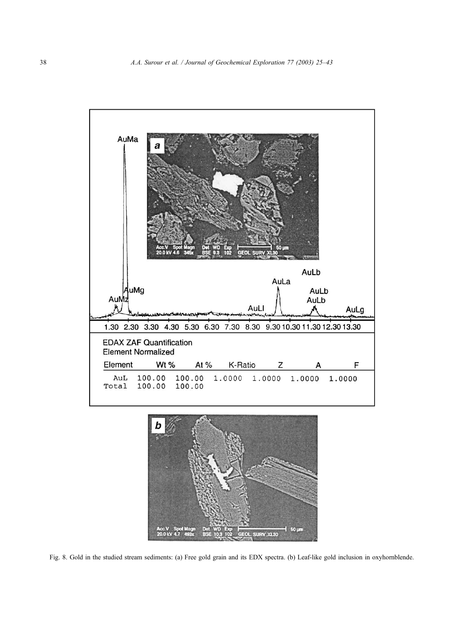<span id="page-13-0"></span>



Fig. 8. Gold in the studied stream sediments: (a) Free gold grain and its EDX spectra. (b) Leaf-like gold inclusion in oxyhornblende.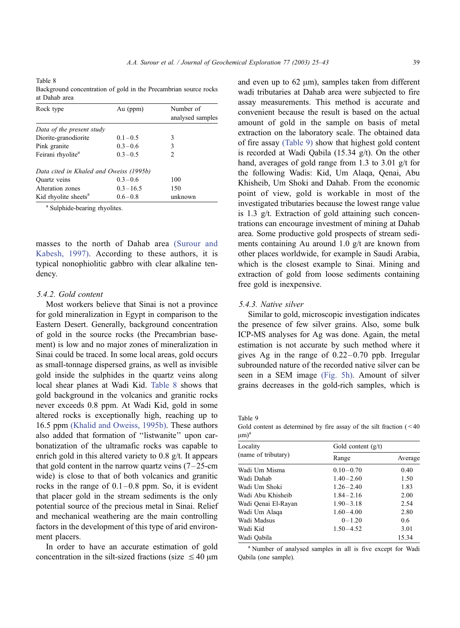Table 8 Background concentration of gold in the Precambrian source rocks at Dahab area

| Rock type                               | Au (ppm)     | Number of<br>analysed samples |
|-----------------------------------------|--------------|-------------------------------|
| Data of the present study               |              |                               |
| Diorite-granodiorite                    | $0.1 - 0.5$  | 3                             |
| Pink granite                            | $0.3 - 0.6$  | 3                             |
| Feirani rhyolite <sup>a</sup>           | $0.3 - 0.5$  | 2                             |
| Data cited in Khaled and Oweiss (1995b) |              |                               |
| <b>Quartz</b> veins                     | $0.3 - 0.6$  | 100                           |
| Alteration zones                        | $0.3 - 16.5$ | 150                           |
| Kid rhyolite sheets <sup>a</sup>        | $0.6 - 0.8$  | unknown                       |

<sup>a</sup> Sulphide-bearing rhyolites.

masses to the north of Dahab area [\(Surour and](#page-18-0) Kabesh, 1997). According to these authors, it is typical nonophiolitic gabbro with clear alkaline tendency.

#### 5.4.2. Gold content

Most workers believe that Sinai is not a province for gold mineralization in Egypt in comparison to the Eastern Desert. Generally, background concentration of gold in the source rocks (the Precambrian basement) is low and no major zones of mineralization in Sinai could be traced. In some local areas, gold occurs as small-tonnage dispersed grains, as well as invisible gold inside the sulphides in the quartz veins along local shear planes at Wadi Kid. Table 8 shows that gold background in the volcanics and granitic rocks never exceeds 0.8 ppm. At Wadi Kid, gold in some altered rocks is exceptionally high, reaching up to 16.5 ppm [\(Khalid and Oweiss, 1995b\).](#page-18-0) These authors also added that formation of ''listwanite'' upon carbonatization of the ultramafic rocks was capable to enrich gold in this altered variety to 0.8 g/t. It appears that gold content in the narrow quartz veins  $(7-25$ -cm wide) is close to that of both volcanics and granitic rocks in the range of  $0.1-0.8$  ppm. So, it is evident that placer gold in the stream sediments is the only potential source of the precious metal in Sinai. Relief and mechanical weathering are the main controlling factors in the development of this type of arid environment placers.

In order to have an accurate estimation of gold concentration in the silt-sized fractions (size  $\leq 40 \mu m$ ) and even up to  $62 \mu m$ ), samples taken from different wadi tributaries at Dahab area were subjected to fire assay measurements. This method is accurate and convenient because the result is based on the actual amount of gold in the sample on basis of metal extraction on the laboratory scale. The obtained data of fire assay (Table 9) show that highest gold content is recorded at Wadi Oabila  $(15.34 \text{ g/t})$ . On the other hand, averages of gold range from 1.3 to 3.01 g/t for the following Wadis: Kid, Um Alaqa, Qenai, Abu Khisheib, Um Shoki and Dahab. From the economic point of view, gold is workable in most of the investigated tributaries because the lowest range value is 1.3 g/t. Extraction of gold attaining such concentrations can encourage investment of mining at Dahab area. Some productive gold prospects of stream sediments containing Au around 1.0 g/t are known from other places worldwide, for example in Saudi Arabia, which is the closest example to Sinai. Mining and extraction of gold from loose sediments containing free gold is inexpensive.

# 5.4.3. Native silver

Similar to gold, microscopic investigation indicates the presence of few silver grains. Also, some bulk ICP-MS analyses for Ag was done. Again, the metal estimation is not accurate by such method where it gives Ag in the range of  $0.22-0.70$  ppb. Irregular subrounded nature of the recorded native silver can be seen in a SEM image [\(Fig. 5h\).](#page-9-0) Amount of silver grains decreases in the gold-rich samples, which is

Table 9

Gold content as determined by fire assay of the silt fraction (<40)  $nm$ )<sup>a</sup>

| <u>,</u>                        |                      |         |  |
|---------------------------------|----------------------|---------|--|
| Locality<br>(name of tributary) | Gold content $(g/t)$ |         |  |
|                                 | Range                | Average |  |
| Wadi Um Misma                   | $0.10 - 0.70$        | 0.40    |  |
| Wadi Dahah                      | $1.40 - 2.60$        | 1.50    |  |
| Wadi Um Shoki                   | $1.26 - 2.40$        | 1.83    |  |
| Wadi Abu Khisheib               | $1.84 - 2.16$        | 2.00    |  |
| Wadi Qenai El-Rayan             | $1.90 - 3.18$        | 2.54    |  |
| Wadi Um Alaqa                   | $1.60 - 4.00$        | 2.80    |  |
| Wadi Madsus                     | $0 - 1.20$           | 0.6     |  |
| Wadi Kid                        | $1.50 - 4.52$        | 3.01    |  |
| Wadi Qabila                     |                      | 15.34   |  |
|                                 |                      |         |  |

<sup>a</sup> Number of analysed samples in all is five except for Wadi Qabila (one sample).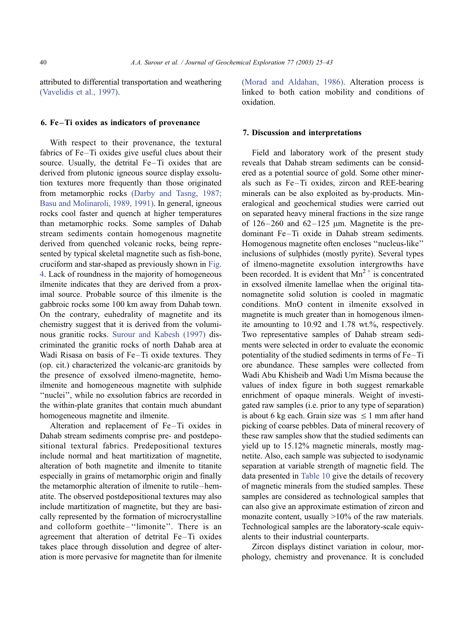attributed to differential transportation and weathering [\(Vavelidis et al., 1997\).](#page-18-0)

## 6. Fe –Ti oxides as indicators of provenance

With respect to their provenance, the textural fabrics of Fe–Ti oxides give useful clues about their source. Usually, the detrital Fe-Ti oxides that are derived from plutonic igneous source display exsolution textures more frequently than those originated from metamorphic rocks [\(Darby and Tasng, 1987;](#page-17-0) Basu and Molinaroli, 1989, 1991). In general, igneous rocks cool faster and quench at higher temperatures than metamorphic rocks. Some samples of Dahab stream sediments contain homogenous magnetite derived from quenched volcanic rocks, being represented by typical skeletal magnetite such as fish-bone, cruciform and star-shaped as previously shown in [Fig.](#page-7-0) 4. Lack of roundness in the majority of homogeneous ilmenite indicates that they are derived from a proximal source. Probable source of this ilmenite is the gabbroic rocks some 100 km away from Dahab town. On the contrary, euhedrality of magnetite and its chemistry suggest that it is derived from the voluminous granitic rocks. [Surour and Kabesh \(1997\)](#page-18-0) discriminated the granitic rocks of north Dahab area at Wadi Risasa on basis of Fe-Ti oxide textures. They (op. cit.) characterized the volcanic-arc granitoids by the presence of exsolved ilmeno-magnetite, hemoilmenite and homogeneous magnetite with sulphide ''nuclei'', while no exsolution fabrics are recorded in the within-plate granites that contain much abundant homogeneous magnetite and ilmenite.

Alteration and replacement of Fe-Ti oxides in Dahab stream sediments comprise pre- and postdepositional textural fabrics. Predepositional textures include normal and heat martitization of magnetite, alteration of both magnetite and ilmenite to titanite especially in grains of metamorphic origin and finally the metamorphic alteration of ilmenite to rutile – hematite. The observed postdepositional textures may also include martitization of magnetite, but they are basically represented by the formation of microcrystalline and colloform goethite-"limonite". There is an agreement that alteration of detrital Fe –Ti oxides takes place through dissolution and degree of alteration is more pervasive for magnetite than for ilmenite [\(Morad and Aldahan, 1986\).](#page-18-0) Alteration process is linked to both cation mobility and conditions of oxidation.

#### 7. Discussion and interpretations

Field and laboratory work of the present study reveals that Dahab stream sediments can be considered as a potential source of gold. Some other minerals such as Fe –Ti oxides, zircon and REE-bearing minerals can be also exploited as by-products. Mineralogical and geochemical studies were carried out on separated heavy mineral fractions in the size range of  $126-260$  and  $62-125$  µm. Magnetite is the predominant Fe–Ti oxide in Dahab stream sediments. Homogenous magnetite often encloses ''nucleus-like'' inclusions of sulphides (mostly pyrite). Several types of ilmeno-magnetite exsolution intergrowths have been recorded. It is evident that  $Mn^{2+}$  is concentrated in exsolved ilmenite lamellae when the original titanomagnetite solid solution is cooled in magmatic conditions. MnO content in ilmenite exsolved in magnetite is much greater than in homogenous ilmenite amounting to 10.92 and 1.78 wt.%, respectively. Two representative samples of Dahab stream sediments were selected in order to evaluate the economic potentiality of the studied sediments in terms of Fe –Ti ore abundance. These samples were collected from Wadi Abu Khisheib and Wadi Um Misma because the values of index figure in both suggest remarkable enrichment of opaque minerals. Weight of investigated raw samples (i.e. prior to any type of separation) is about 6 kg each. Grain size was  $\leq 1$  mm after hand picking of coarse pebbles. Data of mineral recovery of these raw samples show that the studied sediments can yield up to 15.12% magnetic minerals, mostly magnetite. Also, each sample was subjected to isodynamic separation at variable strength of magnetic field. The data presented in [Table 10](#page-16-0) give the details of recovery of magnetic minerals from the studied samples. These samples are considered as technological samples that can also give an approximate estimation of zircon and monazite content, usually  $>10\%$  of the raw materials. Technological samples are the laboratory-scale equivalents to their industrial counterparts.

Zircon displays distinct variation in colour, morphology, chemistry and provenance. It is concluded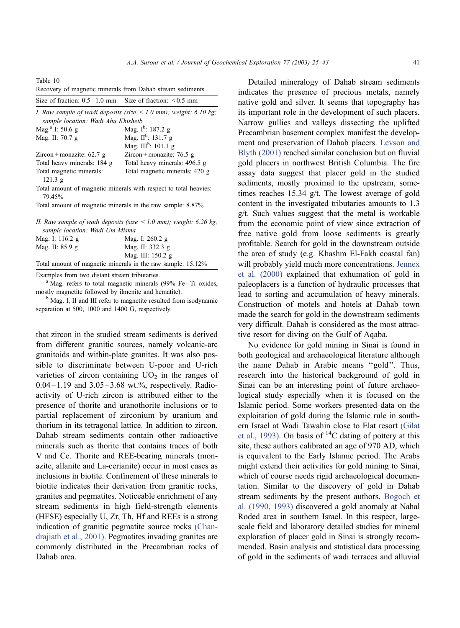<span id="page-16-0"></span>Table 10 Recovery of magnetic minerals from Dahab stream sediments

| Size of fraction: $0.5-1.0$ mm     | Size of fraction: $\leq 0.5$ mm                                       |
|------------------------------------|-----------------------------------------------------------------------|
| sample location: Wadi Abu Khisheib | I. Raw sample of wadi deposits (size $\leq 1.0$ mm); weight: 6.10 kg; |
| Mag. <sup>a</sup> I: 50.6 g        | Mag. $I^b$ : 187.2 g                                                  |
| Mag. II: 70.7 g                    | Mag. $II^b$ : 131.7 g                                                 |
|                                    | Mag. III <sup>b</sup> : 101.1 g                                       |
| Zircon + monazite: 62.7 g          | Zircon + monazite: 76.5 g                                             |
| Total heavy minerals: 184 g        | Total heavy minerals: 496.5 g                                         |
| Total magnetic minerals:           | Total magnetic minerals: 420 g                                        |
| 121.3 g                            |                                                                       |
|                                    | Total amount of magnetic minerals with respect to total heavies:      |
| 79.45%                             |                                                                       |

Total amount of magnetic minerals in the raw sample: 8.87%

|                                                             | II. Raw sample of wadi deposits (size $\leq 1.0$ mm); weight: 6.26 kg; |
|-------------------------------------------------------------|------------------------------------------------------------------------|
| sample location: Wadi Um Misma                              |                                                                        |
| Mag. I: 116.2 g                                             | Mag. I: 260.2 g                                                        |
| Mag. II: 85.9 g                                             | Mag. II: 332.3 g                                                       |
|                                                             | Mag. III: 150.2 g                                                      |
| Total amount of magnetic minerals in the raw sample: 15.12% |                                                                        |

Examples from two distant stream tributaries.<br><sup>a</sup> Mag. refers to total magnetic minerals (99% Fe-Ti oxides, mostly magnetite followed by ilmenite and hematite).

<sup>b</sup> Mag. I, II and III refer to magnetite resulted from isodynamic separation at 500, 1000 and 1400 G, respectively.

that zircon in the studied stream sediments is derived from different granitic sources, namely volcanic-arc granitoids and within-plate granites. It was also possible to discriminate between U-poor and U-rich varieties of zircon containing  $UO<sub>2</sub>$  in the ranges of  $0.04 - 1.19$  and  $3.05 - 3.68$  wt.%, respectively. Radioactivity of U-rich zircon is attributed either to the presence of thorite and uranothorite inclusions or to partial replacement of zirconium by uranium and thorium in its tetragonal lattice. In addition to zircon, Dahab stream sediments contain other radioactive minerals such as thorite that contains traces of both V and Ce. Thorite and REE-bearing minerals (monazite, allanite and La-cerianite) occur in most cases as inclusions in biotite. Confinement of these minerals to biotite indicates their derivation from granitic rocks, granites and pegmatites. Noticeable enrichment of any stream sediments in high field-strength elements (HFSE) especially U, Zr, Th, Hf and REEs is a strong indication of granitic pegmatite source rocks [\(Chan](#page-17-0)drajiath et al., 2001). Pegmatites invading granites are commonly distributed in the Precambrian rocks of Dahab area.

Detailed mineralogy of Dahab stream sediments indicates the presence of precious metals, namely native gold and silver. It seems that topography has its important role in the development of such placers. Narrow gullies and valleys dissecting the uplifted Precambrian basement complex manifest the development and preservation of Dahab placers. [Levson and](#page-18-0) Blyth (2001) reached similar conclusion but on fluvial gold placers in northwest British Columbia. The fire assay data suggest that placer gold in the studied sediments, mostly proximal to the upstream, sometimes reaches 15.34 g/t. The lowest average of gold content in the investigated tributaries amounts to 1.3 g/t. Such values suggest that the metal is workable from the economic point of view since extraction of free native gold from loose sediments is greatly profitable. Search for gold in the downstream outside the area of study (e.g. Khashm El-Fakh coastal fan) will probably yield much more concentrations. [Jennex](#page-18-0) et al. (2000) explained that exhumation of gold in paleoplacers is a function of hydraulic processes that lead to sorting and accumulation of heavy minerals. Construction of motels and hotels at Dahab town made the search for gold in the downstream sediments very difficult. Dahab is considered as the most attractive resort for diving on the Gulf of Aqaba.

No evidence for gold mining in Sinai is found in both geological and archaeological literature although the name Dahab in Arabic means ''gold''. Thus, research into the historical background of gold in Sinai can be an interesting point of future archaeological study especially when it is focused on the Islamic period. Some workers presented data on the exploitation of gold during the Islamic rule in southern Israel at Wadi Tawahin close to Elat resort [\(Gilat](#page-17-0) et al., 1993). On basis of  $^{14}$ C dating of pottery at this site, these authors calibrated an age of 970 AD, which is equivalent to the Early Islamic period. The Arabs might extend their activities for gold mining to Sinai, which of course needs rigid archaeological documentation. Similar to the discovery of gold in Dahab stream sediments by the present authors, [Bogoch et](#page-17-0) al. (1990, 1993) discovered a gold anomaly at Nahal Roded area in southern Israel. In this respect, largescale field and laboratory detailed studies for mineral exploration of placer gold in Sinai is strongly recommended. Basin analysis and statistical data processing of gold in the sediments of wadi terraces and alluvial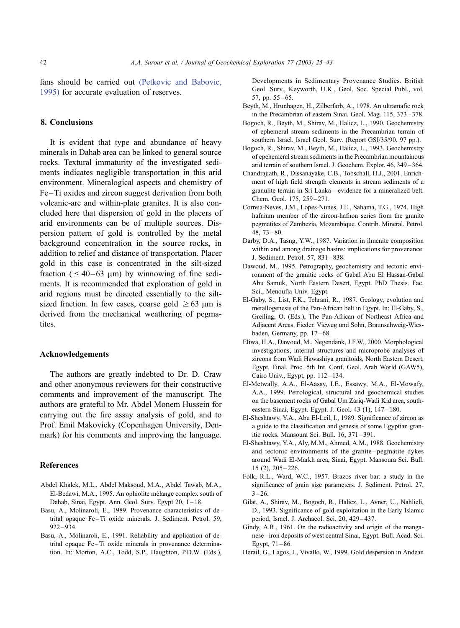<span id="page-17-0"></span>fans should be carried out [\(Petkovic and Babovic,](#page-18-0) 1995) for accurate evaluation of reserves.

# 8. Conclusions

It is evident that type and abundance of heavy minerals in Dahab area can be linked to general source rocks. Textural immaturity of the investigated sediments indicates negligible transportation in this arid environment. Mineralogical aspects and chemistry of Fe –Ti oxides and zircon suggest derivation from both volcanic-arc and within-plate granites. It is also concluded here that dispersion of gold in the placers of arid environments can be of multiple sources. Dispersion pattern of gold is controlled by the metal background concentration in the source rocks, in addition to relief and distance of transportation. Placer gold in this case is concentrated in the silt-sized fraction ( $\leq 40 - 63$  µm) by winnowing of fine sediments. It is recommended that exploration of gold in arid regions must be directed essentially to the siltsized fraction. In few cases, coarse gold  $\geq 63$  µm is derived from the mechanical weathering of pegmatites.

### Acknowledgements

The authors are greatly indebted to Dr. D. Craw and other anonymous reviewers for their constructive comments and improvement of the manuscript. The authors are grateful to Mr. Abdel Monem Hussein for carrying out the fire assay analysis of gold, and to Prof. Emil Makovicky (Copenhagen University, Denmark) for his comments and improving the language.

#### References

- Abdel Khalek, M.L., Abdel Maksoud, M.A., Abdel Tawab, M.A., El-Bedawi, M.A., 1995. An ophiolite mélange complex south of Dahab, Sinai, Egypt. Ann. Geol. Surv. Egypt 20, 1 – 18.
- Basu, A., Molinaroli, E., 1989. Provenance characteristics of detrital opaque Fe – Ti oxide minerals. J. Sediment. Petrol. 59, 922 – 934.
- Basu, A., Molinaroli, E., 1991. Reliability and application of detrital opaque Fe-Ti oxide minerals in provenance determination. In: Morton, A.C., Todd, S.P., Haughton, P.D.W. (Eds.),

Developments in Sedimentary Provenance Studies. British Geol. Surv., Keyworth, U.K., Geol. Soc. Special Publ., vol. 57, pp.  $55 - 65$ .

- Beyth, M., Hrunhagen, H., Zilberfarb, A., 1978. An ultramafic rock in the Precambrian of eastern Sinai. Geol. Mag. 115, 373 – 378.
- Bogoch, R., Beyth, M., Shirav, M., Halicz, L., 1990. Geochemistry of ephemeral stream sediments in the Precambrian terrain of southern Israel. Israel Geol. Surv. (Report GSI/35/90, 97 pp.).
- Bogoch, R., Shirav, M., Beyth, M., Halicz, L., 1993. Geochemistry of epehemeral stream sediments in the Precambrian mountainous arid terrain of southern Israel. J. Geochem. Explor. 46, 349 – 364.
- Chandrajiath, R., Dissanayake, C.B., Tobschall, H.J., 2001. Enrichment of high field strength elements in stream sediments of a granulite terrain in Sri Lanka—evidence for a mineralized belt. Chem. Geol. 175, 259 – 271.
- Correia-Neves, J.M., Lopes-Nunes, J.E., Sahama, T.G., 1974. High hafnium member of the zircon-hafnon series from the granite pegmatites of Zambezia, Mozambique. Contrib. Mineral. Petrol.  $48, 73 - 80.$
- Darby, D.A., Tasng, Y.W., 1987. Variation in ilmenite composition within and among drainage basins: implications for provenance. J. Sediment. Petrol. 57, 831 – 838.
- Dawoud, M., 1995. Petrography, geochemistry and tectonic environment of the granitic rocks of Gabal Abu El Hassan-Gabal Abu Samuk, North Eastern Desert, Egypt. PhD Thesis. Fac. Sci., Menoufia Univ. Egypt.
- El-Gaby, S., List, F.K., Tehrani, R., 1987. Geology, evolution and metallogenesis of the Pan-African belt in Egypt. In: El-Gaby, S., Greiling, O. (Eds.), The Pan-African of Northeast Africa and Adjacent Areas. Fieder. Vieweg und Sohn, Braunschweig-Wiesbaden, Germany, pp.  $17-68$ .
- Eliwa, H.A., Dawoud, M., Negendank, J.F.W., 2000. Morphological investigations, internal structures and microprobe analyses of zircons from Wadi Hawashiya granitoids, North Eastern Desert, Egypt. Final. Proc. 5th Int. Conf. Geol. Arab World (GAW5), Cairo Univ., Egypt, pp. 112 – 134.
- El-Metwally, A.A., El-Aassy, I.E., Essawy, M.A., El-Mowafy, A.A., 1999. Petrological, structural and geochemical studies on the basement rocks of Gabal Um Zariq-Wadi Kid area, southeastern Sinai, Egypt. Egypt. J. Geol. 43 (1), 147 – 180.
- El-Sheshtawy, Y.A., Abu El-Leil, I., 1989. Significance of zircon as a guide to the classification and genesis of some Egyptian granitic rocks. Mansoura Sci. Bull. 16, 371 – 391.
- El-Sheshtawy, Y.A., Aly, M.M., Ahmed, A.M., 1988. Geochemistry and tectonic environments of the granite – pegmatite dykes around Wadi El-Markh area, Sinai, Egypt. Mansoura Sci. Bull. 15 (2), 205 – 226.
- Folk, R.L., Ward, W.C., 1957. Brazos river bar: a study in the significance of grain size parameters. J. Sediment. Petrol. 27,  $3 - 26$ .
- Gilat, A., Shirav, M., Bogoch, R., Halicz, L., Avner, U., Nahlieli, D., 1993. Significance of gold exploitation in the Early Islamic period, Israel. J. Archaeol. Sci. 20, 429 – 437.
- Gindy, A.R., 1961. On the radioactivity and origin of the manganese –iron deposits of west central Sinai, Egypt. Bull. Acad. Sci. Egypt, 71 – 86.
- Herail, G., Lagos, J., Vivallo, W., 1999. Gold despersion in Andean